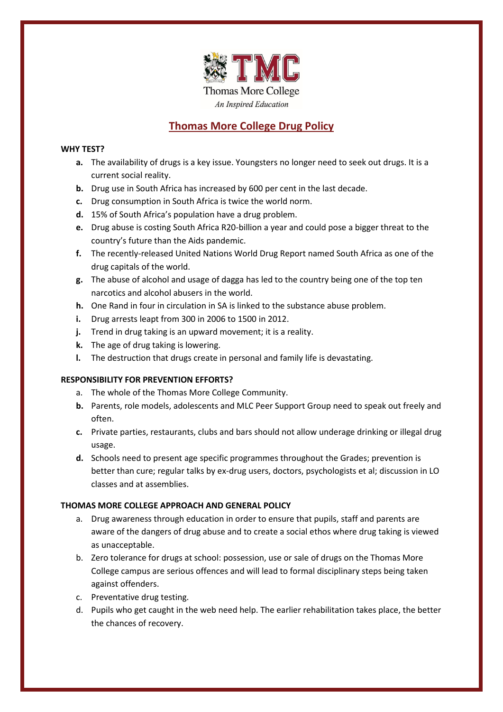

# **Thomas More College Drug Policy**

## **WHY TEST?**

- **a.** The availability of drugs is a key issue. Youngsters no longer need to seek out drugs. It is a current social reality.
- **b.** Drug use in South Africa has increased by 600 per cent in the last decade.
- **c.** Drug consumption in South Africa is twice the world norm.
- **d.** 15% of South Africa's population have a drug problem.
- **e.** Drug abuse is costing South Africa R20-billion a year and could pose a bigger threat to the country's future than the Aids pandemic.
- **f.** The recently-released United Nations World Drug Report named South Africa as one of the drug capitals of the world.
- **g.** The abuse of alcohol and usage of dagga has led to the country being one of the top ten narcotics and alcohol abusers in the world.
- **h.** One Rand in four in circulation in SA is linked to the substance abuse problem.
- **i.** Drug arrests leapt from 300 in 2006 to 1500 in 2012.
- **j.** Trend in drug taking is an upward movement; it is a reality.
- **k.** The age of drug taking is lowering.
- **l.** The destruction that drugs create in personal and family life is devastating.

# **RESPONSIBILITY FOR PREVENTION EFFORTS?**

- a. The whole of the Thomas More College Community.
- **b.** Parents, role models, adolescents and MLC Peer Support Group need to speak out freely and often.
- **c.** Private parties, restaurants, clubs and bars should not allow underage drinking or illegal drug usage.
- **d.** Schools need to present age specific programmes throughout the Grades; prevention is better than cure; regular talks by ex-drug users, doctors, psychologists et al; discussion in LO classes and at assemblies.

# **THOMAS MORE COLLEGE APPROACH AND GENERAL POLICY**

- a. Drug awareness through education in order to ensure that pupils, staff and parents are aware of the dangers of drug abuse and to create a social ethos where drug taking is viewed as unacceptable.
- b. Zero tolerance for drugs at school: possession, use or sale of drugs on the Thomas More College campus are serious offences and will lead to formal disciplinary steps being taken against offenders.
- c. Preventative drug testing.
- d. Pupils who get caught in the web need help. The earlier rehabilitation takes place, the better the chances of recovery.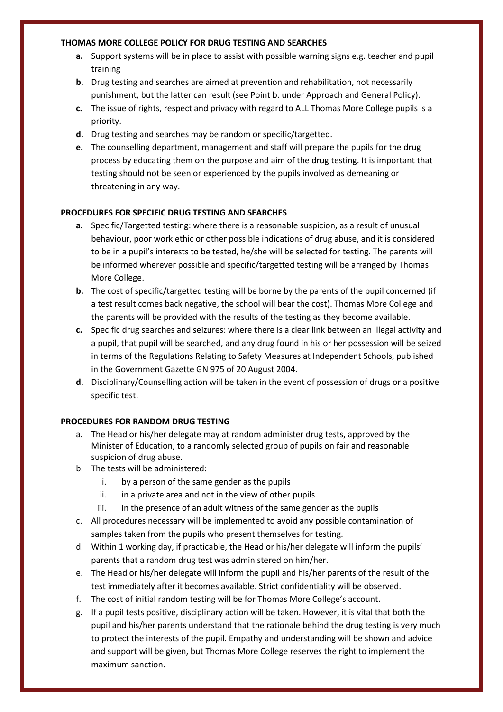#### **THOMAS MORE COLLEGE POLICY FOR DRUG TESTING AND SEARCHES**

- **a.** Support systems will be in place to assist with possible warning signs e.g. teacher and pupil training
- **b.** Drug testing and searches are aimed at prevention and rehabilitation, not necessarily punishment, but the latter can result (see Point b. under Approach and General Policy).
- **c.** The issue of rights, respect and privacy with regard to ALL Thomas More College pupils is a priority.
- **d.** Drug testing and searches may be random or specific/targetted.
- **e.** The counselling department, management and staff will prepare the pupils for the drug process by educating them on the purpose and aim of the drug testing. It is important that testing should not be seen or experienced by the pupils involved as demeaning or threatening in any way.

# **PROCEDURES FOR SPECIFIC DRUG TESTING AND SEARCHES**

- **a.** Specific/Targetted testing: where there is a reasonable suspicion, as a result of unusual behaviour, poor work ethic or other possible indications of drug abuse, and it is considered to be in a pupil's interests to be tested, he/she will be selected for testing. The parents will be informed wherever possible and specific/targetted testing will be arranged by Thomas More College.
- **b.** The cost of specific/targetted testing will be borne by the parents of the pupil concerned (if a test result comes back negative, the school will bear the cost). Thomas More College and the parents will be provided with the results of the testing as they become available.
- **c.** Specific drug searches and seizures: where there is a clear link between an illegal activity and a pupil, that pupil will be searched, and any drug found in his or her possession will be seized in terms of the Regulations Relating to Safety Measures at Independent Schools, published in the Government Gazette GN 975 of 20 August 2004.
- **d.** Disciplinary/Counselling action will be taken in the event of possession of drugs or a positive specific test.

#### **PROCEDURES FOR RANDOM DRUG TESTING**

- a. The Head or his/her delegate may at random administer drug tests, approved by the Minister of Education, to a randomly selected group of pupils on fair and reasonable suspicion of drug abuse.
- b. The tests will be administered:
	- i. by a person of the same gender as the pupils
	- ii. in a private area and not in the view of other pupils
	- iii. in the presence of an adult witness of the same gender as the pupils
- c. All procedures necessary will be implemented to avoid any possible contamination of samples taken from the pupils who present themselves for testing.
- d. Within 1 working day, if practicable, the Head or his/her delegate will inform the pupils' parents that a random drug test was administered on him/her.
- e. The Head or his/her delegate will inform the pupil and his/her parents of the result of the test immediately after it becomes available. Strict confidentiality will be observed.
- f. The cost of initial random testing will be for Thomas More College's account.
- g. If a pupil tests positive, disciplinary action will be taken. However, it is vital that both the pupil and his/her parents understand that the rationale behind the drug testing is very much to protect the interests of the pupil. Empathy and understanding will be shown and advice and support will be given, but Thomas More College reserves the right to implement the maximum sanction.